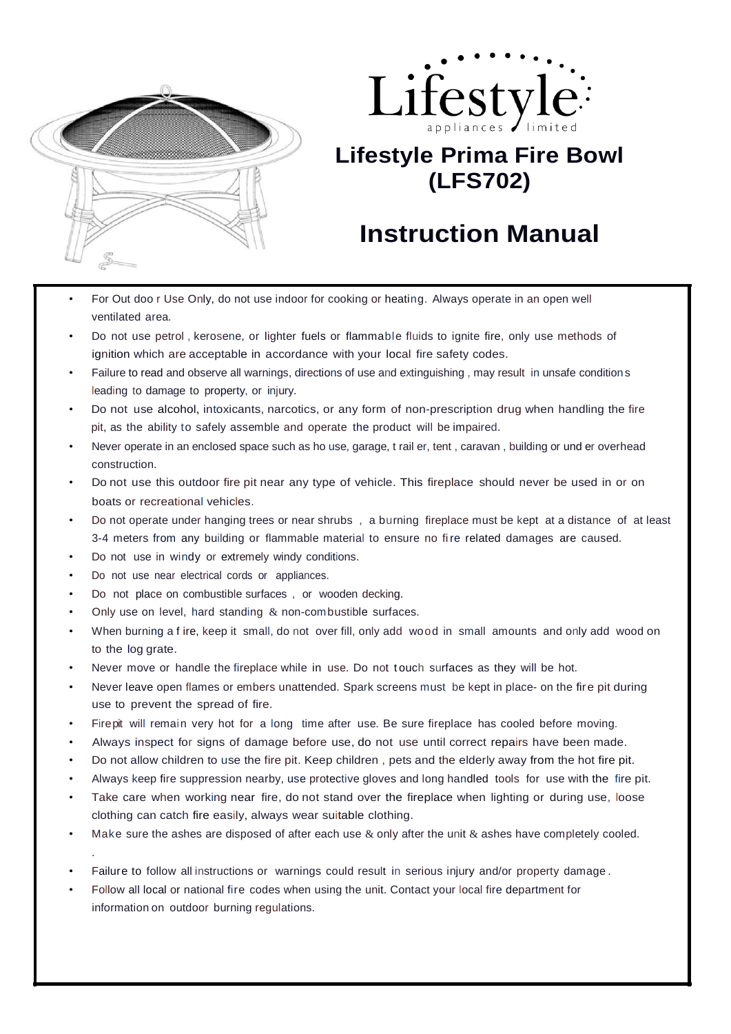



## **Lifestyle Prima Fire Bowl (LFS702)**

## **Instruction Manual**

- For Out doo r Use Only, do not use indoor for cooking or heating. Always operate in an open well ventilated area.
- Do not use petrol , kerosene, or lighter fuels or flammable fluids to ignite fire, only use methods of ignition which are acceptable in accordance with your local fire safety codes.
- Failure to read and observe all warnings, directions of use and extinguishing , may result in unsafe conditions leading to damage to property, or injury.
- Do not use alcohol, intoxicants, narcotics, or any form of non-prescription drug when handling the fire pit, as the ability to safely assemble and operate the product will be impaired.
- Never operate in an enclosed space such as ho use, garage, t rail er, tent , caravan , building or und er overhead construction.
- Do not use this outdoor fire pit near any type of vehicle. This fireplace should never be used in or on boats or recreational vehicles.
- Do not operate under hanging trees or near shrubs , a burning fireplace must be kept at a distance of at least 3-4 meters from any building or flammable material to ensure no fi re related damages are caused.
- Do not use in windy or extremely windy conditions.
- Do not use near electrical cords or appliances.

.

- Do not place on combustible surfaces, or wooden decking.
- Only use on level, hard standing  $&$  non-combustible surfaces.
- When burning a f ire, keep it small, do not over fill, only add wood in small amounts and only add wood on to the log grate.
- Never move or handle the fireplace while in use. Do not touch surfaces as they will be hot.
- Never leave open flames or embers unattended. Spark screens must be kept in place- on the fire pit during use to prevent the spread of fire.
- Fire pit will remain very hot for a long time after use. Be sure fireplace has cooled before moving.
- Always inspect for signs of damage before use, do not use until correct repairs have been made.
- Do not allow children to use the fire pit. Keep children , pets and the elderly away from the hot fire pit.
- Always keep fire suppression nearby, use protective gloves and long handled tools for use with the fire pit.
- Take care when working near fire, do not stand over the fireplace when lighting or during use, loose clothing can catch fire easily, always wear suitable clothing.
- Make sure the ashes are disposed of after each use  $\&$  only after the unit  $\&$  ashes have completely cooled.
- Failure to follow all instructions or warnings could result in serious injury and/or property damage .
- Follow all local or national fire codes when using the unit. Contact your local fire department for information on outdoor burning regulations.